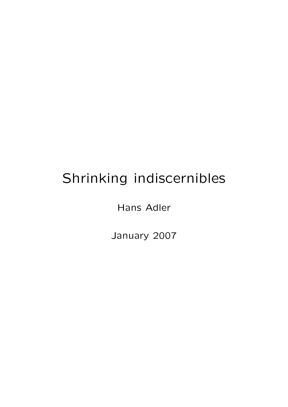# Shrinking indiscernibles

Hans Adler

January 2007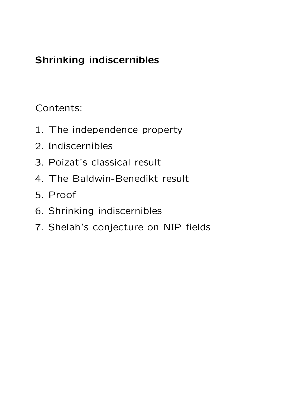# Shrinking indiscernibles

Contents:

- 1. The independence property
- 2. Indiscernibles
- 3. Poizat's classical result
- 4. The Baldwin-Benedikt result
- 5. Proof
- 6. Shrinking indiscernibles
- 7. Shelah's conjecture on NIP fields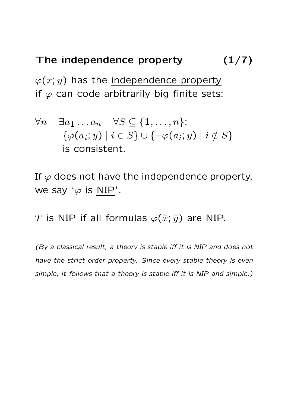# The independence property  $(1/7)$

 $\varphi(x; y)$  has the independence property if  $\varphi$  can code arbitrarily big finite sets:

$$
\forall n \quad \exists a_1 \dots a_n \quad \forall S \subseteq \{1, \dots, n\}: \\
\{\varphi(a_i; y) \mid i \in S\} \cup \{\neg \varphi(a_i; y) \mid i \notin S\} \\
\text{is consistent.}
$$

If  $\varphi$  does not have the independence property, we say ' $\varphi$  is NIP'.

T is NIP if all formulas  $\varphi(\bar{x}; \bar{y})$  are NIP.

(By a classical result, a theory is stable iff it is NIP and does not have the strict order property. Since every stable theory is even simple, it follows that a theory is stable iff it is NIP and simple.)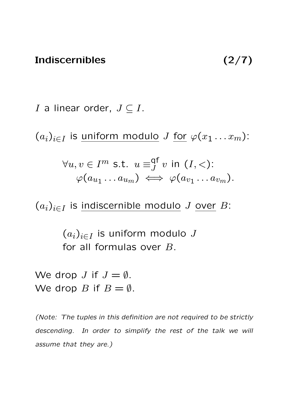I a linear order,  $J \subseteq I$ .

 $(a_i)_{i\in I}$  is <u>uniform modulo</u> J <u>for</u>  $\varphi(x_1 \ldots x_m)$ :

$$
\forall u, v \in I^m \text{ s.t. } u \equiv_{J}^{\text{qf}} v \text{ in } (I, <): \varphi(a_{u_1} \dots a_{u_m}) \iff \varphi(a_{v_1} \dots a_{v_m}).
$$

 $(a_i)_{i\in I}$  is indiscernible modulo J over B:

 $(a_i)_{i\in I}$  is uniform modulo  $J$ for all formulas over B.

We drop *J* if  $J = \emptyset$ . We drop B if  $B = \emptyset$ .

(Note: The tuples in this definition are not required to be strictly descending. In order to simplify the rest of the talk we will assume that they are.)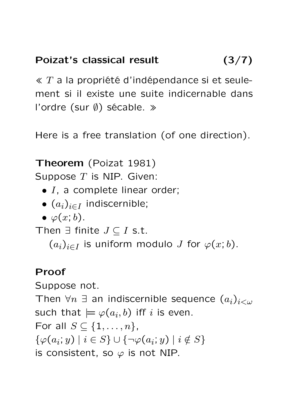# Poizat's classical result (3/7)

 $\ll T$  a la propriété d'indépendance si et seulement si il existe une suite indicernable dans l'ordre (sur ∅) sécable. »

Here is a free translation (of one direction).

Theorem (Poizat 1981)

Suppose  $T$  is NIP. Given:

- $\bullet$  I, a complete linear order;
- $\bullet$   $(a_i)_{i\in I}$  indiscernible;
- $\bullet \varphi(x;b).$

Then  $\exists$  finite  $J \subseteq I$  s.t.

 $(a_i)_{i\in I}$  is uniform modulo J for  $\varphi(x;b)$ .

#### Proof

Suppose not.

Then  $\forall n \exists$  an indiscernible sequence  $(a_i)_{i < \omega}$ such that  $\models \varphi(a_i,b)$  iff  $i$  is even. For all  $S \subseteq \{1, \ldots, n\},$  $\{\varphi(a_i; y) \mid i \in S\} \cup \{\neg \varphi(a_i; y) \mid i \notin S\}$ is consistent, so  $\varphi$  is not NIP.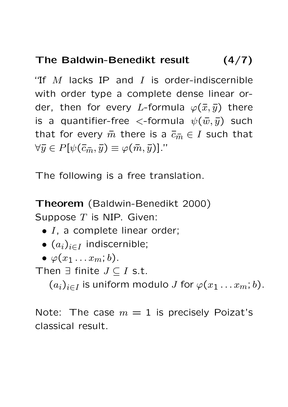# The Baldwin-Benedikt result (4/7)

"If  $M$  lacks IP and  $I$  is order-indiscernible with order type a complete dense linear order, then for every L-formula  $\varphi(\bar{x}, \bar{y})$  there is a quantifier-free  $\lt$ -formula  $\psi(\bar{w}, \bar{y})$  such that for every  $\bar{m}$  there is a  $\bar{c}_{\bar{m}} \in I$  such that  $\forall \overline{y} \in P[\psi(\overline{c}_{\overline{m}}, \overline{y}) \equiv \varphi(\overline{m}, \overline{y})]$ ."

The following is a free translation.

Theorem (Baldwin-Benedikt 2000) Suppose  $T$  is NIP. Given:

- $\bullet$  I, a complete linear order;
- $\bullet$   $(a_i)_{i\in I}$  indiscernible;
- $\bullet \varphi(x_1 \dots x_m; b)$ .

Then  $\exists$  finite  $J \subseteq I$  s.t.

 $(a_i)_{i\in I}$  is uniform modulo  $J$  for  $\varphi(x_1 \ldots x_m; b)$ .

Note: The case  $m = 1$  is precisely Poizat's classical result.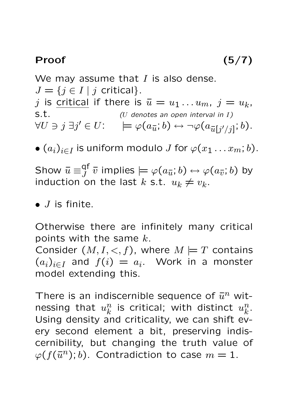#### Proof  $(5/7)$

We may assume that  $I$  is also dense.  $J = \{j \in I \mid j \text{ critical}\}.$  $j$  is <u>critical</u> if there is  $\bar{u} = u_1 \dots u_m$ ,  $j = u_k$ ,  $S.t.$  (U denotes an open interval in I)  $\forall U \ni j \ \exists j' \in U: \quad \models \varphi(a_{\overline{u}}; b) \leftrightarrow \neg \varphi(a_{\overline{u}[j'/j]}; b).$ 

 $\bullet$   $(a_i)_{i\in I}$  is uniform modulo  $J$  for  $\varphi(x_1\ldots x_m;b).$ 

Show  $\bar{u} \equiv^{\text{qf}}_I$  $\mathcal{G}^{\textsf{I}}_{J} \; \overline{v}$  implies  $\models \varphi(a_{\overline{u}}; b) \leftrightarrow \varphi(a_{\overline{v}}; b)$  by induction on the last  $k$  s.t.  $u_k \neq v_k$ .

 $\bullet$  *J* is finite.

Otherwise there are infinitely many critical points with the same  $k$ . Consider  $(M, I, <, f)$ , where  $M \models T$  contains  $(a_i)_{i\in I}$  and  $f(i) = a_i$ . Work in a monster model extending this.

There is an indiscernible sequence of  $\bar{u}^n$  witnessing that  $u_k^n$  $\frac{n}{k}$  is critical; with distinct  $u^n_k$  $\frac{n}{k}$  . Using density and criticality, we can shift every second element a bit, preserving indiscernibility, but changing the truth value of  $\varphi(f(\bar{u}^n); b)$ . Contradiction to case  $m = 1$ .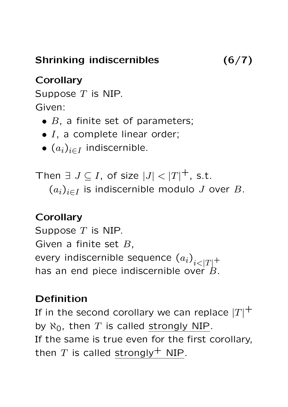Shrinking indiscernibles (6/7)

# **Corollary**

Suppose  $T$  is NIP. Given:

- $\bullet$  B, a finite set of parameters;
- $\bullet$  I, a complete linear order;
- $\bullet$   $(a_i)_{i\in I}$  indiscernible.

Then  $\exists J \subseteq I$ , of size  $|J| < |T|^+$ , s.t.  $(a_i)_{i\in I}$  is indiscernible modulo J over B.

## **Corollary**

Suppose  $T$  is NIP. Given a finite set  $B$ , every indiscernible sequence  $\left( a_{i}\right) _{i<|T|}+$ has an end piece indiscernible over  $\dot{B}$ .

## Definition

If in the second corollary we can replace  $\left| T\right| ^{+}$ by  $\aleph_0$ , then T is called strongly NIP. If the same is true even for the first corollary, then T is called strongly<sup>+</sup> NIP.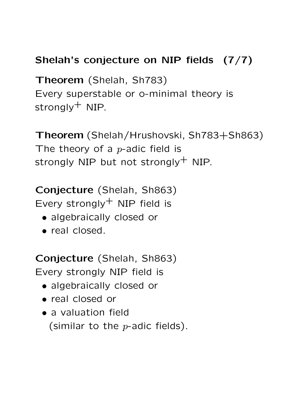# Shelah's conjecture on NIP fields (7/7)

Theorem (Shelah, Sh783) Every superstable or o-minimal theory is strongly $^+$  NIP.

Theorem (Shelah/Hrushovski, Sh783+Sh863) The theory of a  $p$ -adic field is strongly NIP but not strongly $^+$  NIP.

Conjecture (Shelah, Sh863) Every strongly $^+$  NIP field is

- algebraically closed or
- real closed.

Conjecture (Shelah, Sh863) Every strongly NIP field is

- algebraically closed or
- real closed or
- a valuation field (similar to the  $p$ -adic fields).